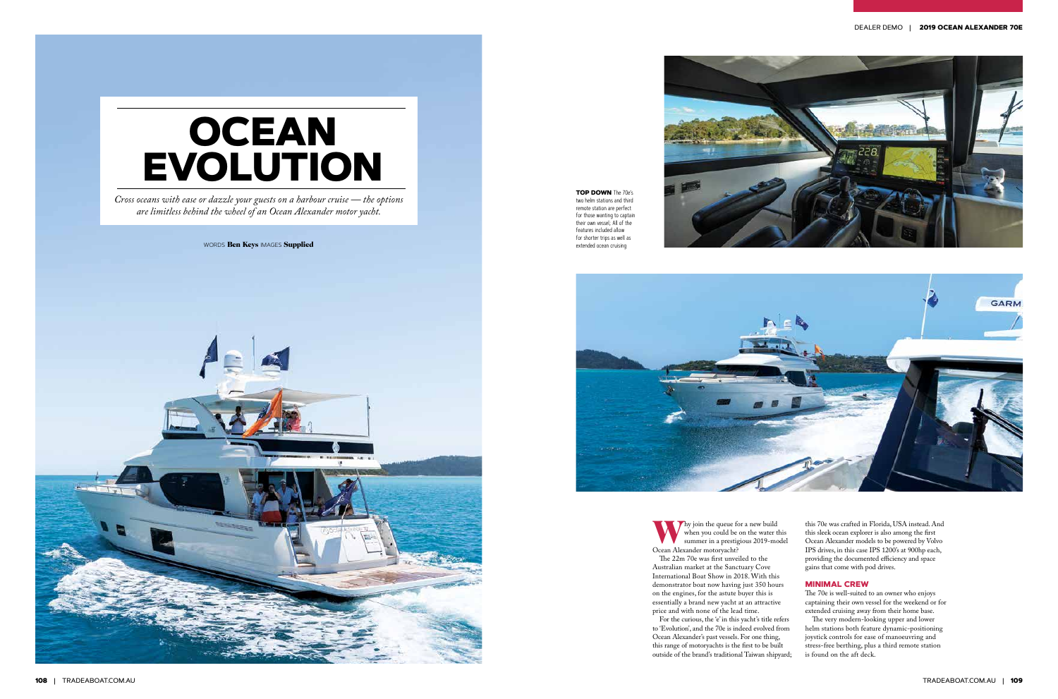# **OCEAN EVOLUTION**

*Cross oceans with ease or dazzle your guests on a harbour cruise — the options are limitless behind the wheel of an Ocean Alexander motor yacht.*

WORDS Ben Keys IMAGES Supplied







**TOP DOWN** The 70e's two helm stations and third remote station are perfect for those wanting to captain their own vessel; All of the features included allow for shorter trips as well as extended ocean cruising

> Why join the queue for a new build<br>when you could be on the water the summer in a prestigious 2019-mo when you could be on the water this summer in a prestigious 2019-model Ocean Alexander motoryacht? The 22m 70e was first unveiled to the Australian market at the Sanctuary Cove International Boat Show in 2018. With this demonstrator boat now having just 350 hours on the engines, for the astute buyer this is essentially a brand new yacht at an attractive price and with none of the lead time. For the curious, the 'e' in this yacht's title refers to 'Evolution', and the 70e is indeed evolved from

Ocean Alexander's past vessels. For one thing, this range of motoryachts is the first to be built outside of the brand's traditional Taiwan shipyard;

this 70e was crafted in Florida, USA instead. And this sleek ocean explorer is also among the first Ocean Alexander models to be powered by Volvo IPS drives, in this case IPS 1200's at 900hp each, providing the documented efficiency and space gains that come with pod drives.

#### **MINIMAL CREW**

The 70e is well-suited to an owner who enjoys captaining their own vessel for the weekend or for extended cruising away from their home base.

The very modern-looking upper and lower helm stations both feature dynamic-positioning joystick controls for ease of manoeuvring and stress-free berthing, plus a third remote station is found on the aft deck.